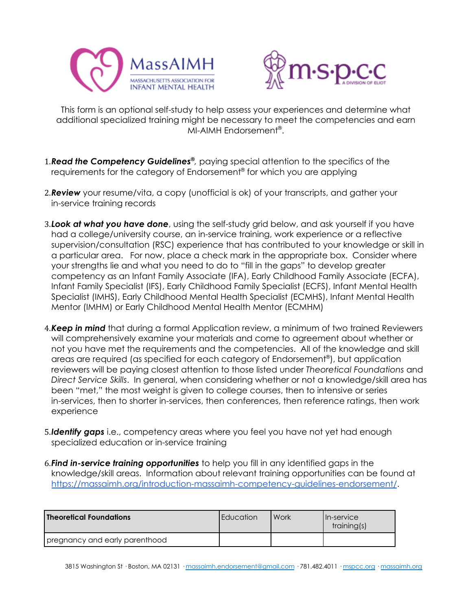



This form is an optional self-study to help assess your experiences and determine what additional specialized training might be necessary to meet the competencies and earn MI-AIMH Endorsement ® .

- 1. Read the Competency Guidelines<sup>®</sup>, paying special attention to the specifics of the requirements for the category of Endorsement ® for which you are applying
- 2.*Review* your resume/vita, a copy (unofficial is ok) of your transcripts, and gather your in-service training records
- 3.*Look at what you have done*, using the self-study grid below, and ask yourself if you have had a college/university course, an in-service training, work experience or a reflective supervision/consultation (RSC) experience that has contributed to your knowledge or skill in a particular area. For now, place a check mark in the appropriate box. Consider where your strengths lie and what you need to do to "fill in the gaps" to develop greater competency as an Infant Family Associate (IFA), Early Childhood Family Associate (ECFA), Infant Family Specialist (IFS), Early Childhood Family Specialist (ECFS), Infant Mental Health Specialist (IMHS), Early Childhood Mental Health Specialist (ECMHS), Infant Mental Health Mentor (IMHM) or Early Childhood Mental Health Mentor (ECMHM)
- 4.*Keep in mind* that during a formal Application review, a minimum of two trained Reviewers will comprehensively examine your materials and come to agreement about whether or not you have met the requirements and the competencies. All of the knowledge and skill areas are required (as specified for each category of Endorsement ® ), but application reviewers will be paying closest attention to those listed under *Theoretical Foundations* and *Direct Service Skills*. In general, when considering whether or not a knowledge/skill area has been "met," the most weight is given to college courses, then to intensive or series in-services, then to shorter in-services, then conferences, then reference ratings, then work experience
- 5.*Identify gaps* i.e., competency areas where you feel you have not yet had enough specialized education or in-service training
- 6.*Find in-service training opportunities* to help you fill in any identified gaps in the knowledge/skill areas. Information about relevant training opportunities can be found at <https://massaimh.org/introduction-massaimh-competency-guidelines-endorsement/>.

| <b>Theoretical Foundations</b> | <b>Education</b> | Work | <b>I</b> In-service<br>training(s) |
|--------------------------------|------------------|------|------------------------------------|
| pregnancy and early parenthood |                  |      |                                    |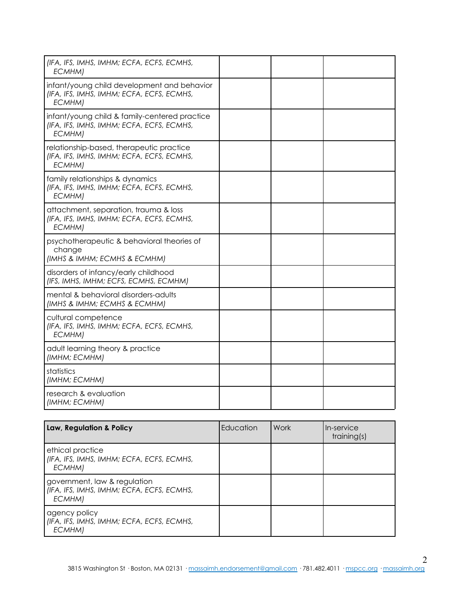| (IFA, IFS, IMHS, IMHM; ECFA, ECFS, ECMHS,<br>ECMHM)                                                         |  |  |
|-------------------------------------------------------------------------------------------------------------|--|--|
| infant/young child development and behavior<br>(IFA, IFS, IMHS, IMHM; ECFA, ECFS, ECMHS,<br>ECMHM)          |  |  |
| infant/young child & family-centered practice<br>(IFA, IFS, IMHS, IMHM; ECFA, ECFS, ECMHS,<br><b>ECMHM)</b> |  |  |
| relationship-based, therapeutic practice<br>(IFA, IFS, IMHS, IMHM; ECFA, ECFS, ECMHS,<br><b>ECMHM)</b>      |  |  |
| family relationships & dynamics<br>(IFA, IFS, IMHS, IMHM; ECFA, ECFS, ECMHS,<br>ECMHM)                      |  |  |
| attachment, separation, trauma & loss<br>(IFA, IFS, IMHS, IMHM; ECFA, ECFS, ECMHS,<br>ECMHM)                |  |  |
| psychotherapeutic & behavioral theories of<br>change<br>(IMHS & IMHM; ECMHS & ECMHM)                        |  |  |
| disorders of infancy/early childhood<br>(IFS, IMHS, IMHM; ECFS, ECMHS, ECMHM)                               |  |  |
| mental & behavioral disorders-adults<br>(IMHS & IMHM; ECMHS & ECMHM)                                        |  |  |
| cultural competence<br>(IFA, IFS, IMHS, IMHM; ECFA, ECFS, ECMHS,<br>ECMHM)                                  |  |  |
| adult learning theory & practice<br>(IMHM; ECMHM)                                                           |  |  |
| statistics<br>(IMHM; ECMHM)                                                                                 |  |  |
| research & evaluation<br>(IMHM; ECMHM)                                                                      |  |  |

| Law, Regulation & Policy                                                              | Education | Work | In-service<br>training(s) |
|---------------------------------------------------------------------------------------|-----------|------|---------------------------|
| ethical practice<br>  (IFA, IFS, IMHS, IMHM; ECFA, ECFS, ECMHS,<br>ECMHM)             |           |      |                           |
| government, law & regulation<br>  (IFA, IFS, IMHS, IMHM; ECFA, ECFS, ECMHS,<br>ECMHM) |           |      |                           |
| agency policy<br>(IFA, IFS, IMHS, IMHM; ECFA, ECFS, ECMHS,<br>ECMHM)                  |           |      |                           |

2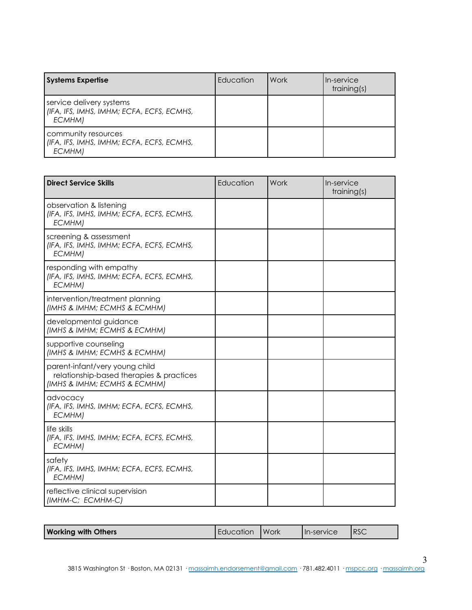| <b>Systems Expertise</b>                                                        | Education | Work | In-service<br>training(s) |
|---------------------------------------------------------------------------------|-----------|------|---------------------------|
| service delivery systems<br>(IFA, IFS, IMHS, IMHM; ECFA, ECFS, ECMHS,<br>ECMHM) |           |      |                           |
| community resources<br>(IFA, IFS, IMHS, IMHM; ECFA, ECFS, ECMHS,<br>ECMHM)      |           |      |                           |

| <b>Direct Service Skills</b>                                                                               | Education | Work | In-service<br>training(s) |
|------------------------------------------------------------------------------------------------------------|-----------|------|---------------------------|
| observation & listening<br>(IFA, IFS, IMHS, IMHM; ECFA, ECFS, ECMHS,<br><b>ECMHM)</b>                      |           |      |                           |
| screening & assessment<br>(IFA, IFS, IMHS, IMHM; ECFA, ECFS, ECMHS,<br>ECMHM)                              |           |      |                           |
| responding with empathy<br>(IFA, IFS, IMHS, IMHM; ECFA, ECFS, ECMHS,<br><b>ECMHM)</b>                      |           |      |                           |
| intervention/treatment planning<br>(IMHS & IMHM; ECMHS & ECMHM)                                            |           |      |                           |
| developmental guidance<br>(IMHS & IMHM; ECMHS & ECMHM)                                                     |           |      |                           |
| supportive counseling<br>(IMHS & IMHM; ECMHS & ECMHM)                                                      |           |      |                           |
| parent-infant/very young child<br>relationship-based therapies & practices<br>(IMHS & IMHM; ECMHS & ECMHM) |           |      |                           |
| advocacy<br>(IFA, IFS, IMHS, IMHM; ECFA, ECFS, ECMHS,<br><b>ECMHM)</b>                                     |           |      |                           |
| life skills<br>(IFA, IFS, IMHS, IMHM; ECFA, ECFS, ECMHS,<br><b>ECMHM)</b>                                  |           |      |                           |
| safety<br>(IFA, IFS, IMHS, IMHM; ECFA, ECFS, ECMHS,<br>ECMHM)                                              |           |      |                           |
| reflective clinical supervision<br>(IMHM-C; ECMHM-C)                                                       |           |      |                           |

| <b>Working with Others</b><br><b>IRSC</b><br><b>I</b> Work<br><b>I</b> In-service<br>l Education |
|--------------------------------------------------------------------------------------------------|
|--------------------------------------------------------------------------------------------------|

3815 Washington St · Boston, MA 02131 · [massaimh.endorsement@gmail.com](mailto:massaimh.endorsement@gmail.com) · 781.482.4011 · [mspcc.org](https://www.mspcc.org/mspcc-massaimh-endorsement) · [massaimh.org](https://massaimh.org/)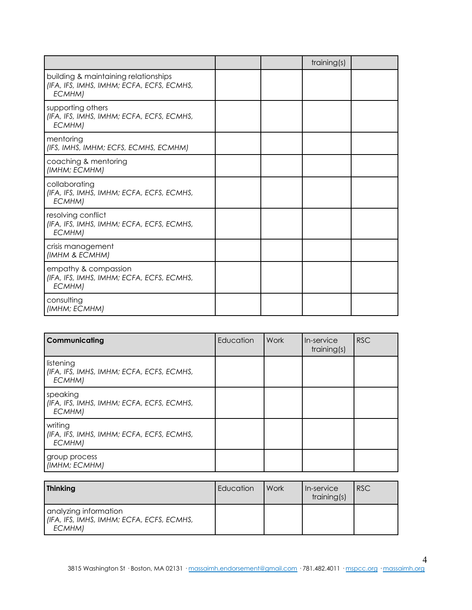|                                                                                             |  | training(s) |  |
|---------------------------------------------------------------------------------------------|--|-------------|--|
| building & maintaining relationships<br>(IFA, IFS, IMHS, IMHM; ECFA, ECFS, ECMHS,<br>ECMHM) |  |             |  |
| supporting others<br>(IFA, IFS, IMHS, IMHM; ECFA, ECFS, ECMHS,<br>ECMHM)                    |  |             |  |
| mentoring<br>(IFS, IMHS, IMHM; ECFS, ECMHS, ECMHM)                                          |  |             |  |
| coaching & mentoring<br>(IMHM; ECMHM)                                                       |  |             |  |
| collaborating<br>(IFA, IFS, IMHS, IMHM; ECFA, ECFS, ECMHS,<br>ECMHM)                        |  |             |  |
| resolving conflict<br>(IFA, IFS, IMHS, IMHM; ECFA, ECFS, ECMHS,<br>ECMHM)                   |  |             |  |
| crisis management<br>(IMHM & ECMHM)                                                         |  |             |  |
| empathy & compassion<br>(IFA, IFS, IMHS, IMHM; ECFA, ECFS, ECMHS,<br><b>ECMHM)</b>          |  |             |  |
| consulting<br>(IMHM; ECMHM)                                                                 |  |             |  |

| Communicating                                                    | Education | Work | In-service<br>training(s) | <b>RSC</b> |
|------------------------------------------------------------------|-----------|------|---------------------------|------------|
| listening<br>(IFA, IFS, IMHS, IMHM; ECFA, ECFS, ECMHS,<br>ECMHM) |           |      |                           |            |
| speaking<br>(IFA, IFS, IMHS, IMHM; ECFA, ECFS, ECMHS,<br>ECMHM)  |           |      |                           |            |
| writing<br>(IFA, IFS, IMHS, IMHM; ECFA, ECFS, ECMHS,<br>ECMHM)   |           |      |                           |            |
| group process<br>(IMHM; ECMHM)                                   |           |      |                           |            |

| Thinking                                                                     | Education | <b>Work</b> | I In-service<br>training(s) | RSC |
|------------------------------------------------------------------------------|-----------|-------------|-----------------------------|-----|
| analyzing information<br>(IFA, IFS, IMHS, IMHM; ECFA, ECFS, ECMHS,<br>ECMHM) |           |             |                             |     |

4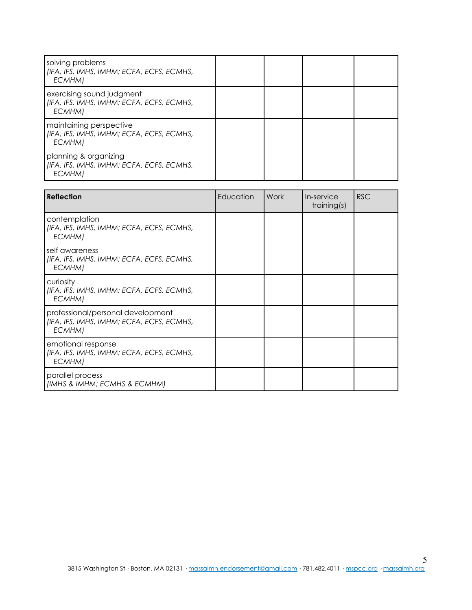| solving problems<br>(IFA, IFS, IMHS, IMHM; ECFA, ECFS, ECMHS,<br>ECMHM)             |  |  |
|-------------------------------------------------------------------------------------|--|--|
| exercising sound judgment<br>(IFA, IFS, IMHS, IMHM; ECFA, ECFS, ECMHS,<br>ECMHM)    |  |  |
| maintaining perspective<br>(IFA, IFS, IMHS, IMHM; ECFA, ECFS, ECMHS,<br>ECMHM)      |  |  |
| planning & organizing<br>(IFA, IFS, IMHS, IMHM; ECFA, ECFS, ECMHS,<br><b>ECMHMI</b> |  |  |

| <b>Reflection</b>                                                                        | Education | Work | In-service<br>training(s) | <b>RSC</b> |
|------------------------------------------------------------------------------------------|-----------|------|---------------------------|------------|
| contemplation<br>(IFA, IFS, IMHS, IMHM; ECFA, ECFS, ECMHS,<br>ECMHM)                     |           |      |                           |            |
| self awareness<br>(IFA, IFS, IMHS, IMHM; ECFA, ECFS, ECMHS,<br>ECMHM)                    |           |      |                           |            |
| curiosity<br>(IFA, IFS, IMHS, IMHM; ECFA, ECFS, ECMHS,<br><b>ECMHM)</b>                  |           |      |                           |            |
| professional/personal development<br>(IFA, IFS, IMHS, IMHM; ECFA, ECFS, ECMHS,<br>ECMHM) |           |      |                           |            |
| emotional response<br>(IFA, IFS, IMHS, IMHM; ECFA, ECFS, ECMHS,<br><b>ECMHM)</b>         |           |      |                           |            |
| parallel process<br>(IMHS & IMHM; ECMHS & ECMHM)                                         |           |      |                           |            |